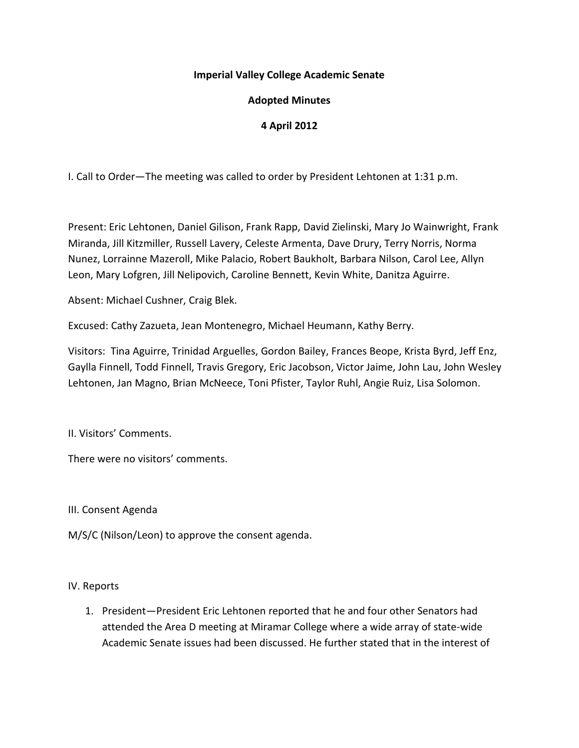### **Imperial Valley College Academic Senate**

## **Adopted Minutes**

# **4 April 2012**

I. Call to Order—The meeting was called to order by President Lehtonen at 1:31 p.m.

Present: Eric Lehtonen, Daniel Gilison, Frank Rapp, David Zielinski, Mary Jo Wainwright, Frank Miranda, Jill Kitzmiller, Russell Lavery, Celeste Armenta, Dave Drury, Terry Norris, Norma Nunez, Lorrainne Mazeroll, Mike Palacio, Robert Baukholt, Barbara Nilson, Carol Lee, Allyn Leon, Mary Lofgren, Jill Nelipovich, Caroline Bennett, Kevin White, Danitza Aguirre.

Absent: Michael Cushner, Craig Blek.

Excused: Cathy Zazueta, Jean Montenegro, Michael Heumann, Kathy Berry.

Visitors: Tina Aguirre, Trinidad Arguelles, Gordon Bailey, Frances Beope, Krista Byrd, Jeff Enz, Gaylla Finnell, Todd Finnell, Travis Gregory, Eric Jacobson, Victor Jaime, John Lau, John Wesley Lehtonen, Jan Magno, Brian McNeece, Toni Pfister, Taylor Ruhl, Angie Ruiz, Lisa Solomon.

II. Visitors' Comments.

There were no visitors' comments.

III. Consent Agenda

M/S/C (Nilson/Leon) to approve the consent agenda.

#### IV. Reports

1. President—President Eric Lehtonen reported that he and four other Senators had attended the Area D meeting at Miramar College where a wide array of state-wide Academic Senate issues had been discussed. He further stated that in the interest of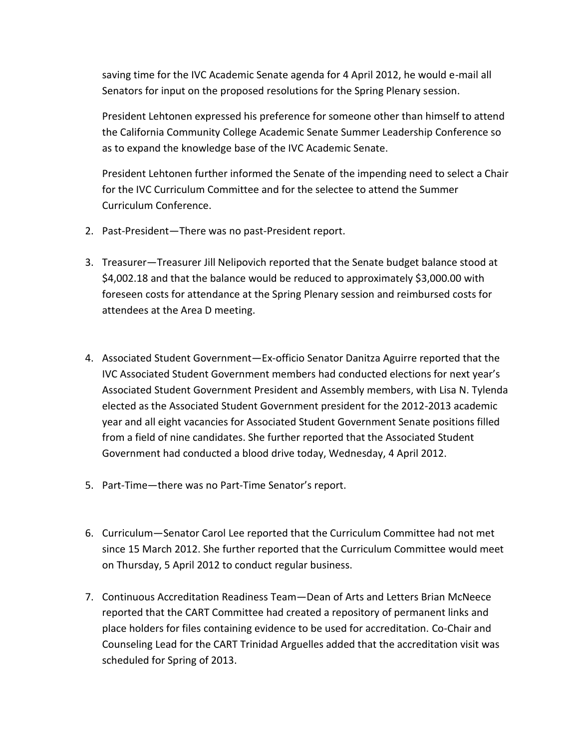saving time for the IVC Academic Senate agenda for 4 April 2012, he would e-mail all Senators for input on the proposed resolutions for the Spring Plenary session.

President Lehtonen expressed his preference for someone other than himself to attend the California Community College Academic Senate Summer Leadership Conference so as to expand the knowledge base of the IVC Academic Senate.

President Lehtonen further informed the Senate of the impending need to select a Chair for the IVC Curriculum Committee and for the selectee to attend the Summer Curriculum Conference.

- 2. Past-President—There was no past-President report.
- 3. Treasurer—Treasurer Jill Nelipovich reported that the Senate budget balance stood at \$4,002.18 and that the balance would be reduced to approximately \$3,000.00 with foreseen costs for attendance at the Spring Plenary session and reimbursed costs for attendees at the Area D meeting.
- 4. Associated Student Government—Ex-officio Senator Danitza Aguirre reported that the IVC Associated Student Government members had conducted elections for next year's Associated Student Government President and Assembly members, with Lisa N. Tylenda elected as the Associated Student Government president for the 2012-2013 academic year and all eight vacancies for Associated Student Government Senate positions filled from a field of nine candidates. She further reported that the Associated Student Government had conducted a blood drive today, Wednesday, 4 April 2012.
- 5. Part-Time—there was no Part-Time Senator's report.
- 6. Curriculum—Senator Carol Lee reported that the Curriculum Committee had not met since 15 March 2012. She further reported that the Curriculum Committee would meet on Thursday, 5 April 2012 to conduct regular business.
- 7. Continuous Accreditation Readiness Team—Dean of Arts and Letters Brian McNeece reported that the CART Committee had created a repository of permanent links and place holders for files containing evidence to be used for accreditation. Co-Chair and Counseling Lead for the CART Trinidad Arguelles added that the accreditation visit was scheduled for Spring of 2013.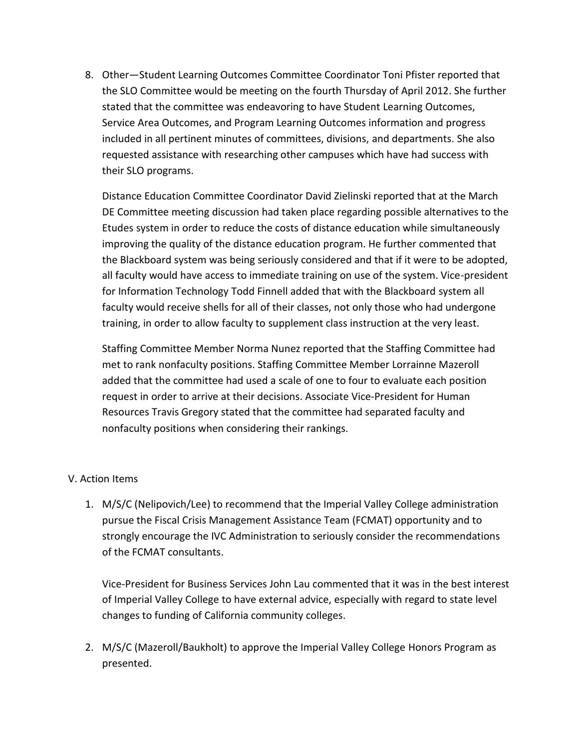8. Other—Student Learning Outcomes Committee Coordinator Toni Pfister reported that the SLO Committee would be meeting on the fourth Thursday of April 2012. She further stated that the committee was endeavoring to have Student Learning Outcomes, Service Area Outcomes, and Program Learning Outcomes information and progress included in all pertinent minutes of committees, divisions, and departments. She also requested assistance with researching other campuses which have had success with their SLO programs.

Distance Education Committee Coordinator David Zielinski reported that at the March DE Committee meeting discussion had taken place regarding possible alternatives to the Etudes system in order to reduce the costs of distance education while simultaneously improving the quality of the distance education program. He further commented that the Blackboard system was being seriously considered and that if it were to be adopted, all faculty would have access to immediate training on use of the system. Vice-president for Information Technology Todd Finnell added that with the Blackboard system all faculty would receive shells for all of their classes, not only those who had undergone training, in order to allow faculty to supplement class instruction at the very least.

Staffing Committee Member Norma Nunez reported that the Staffing Committee had met to rank nonfaculty positions. Staffing Committee Member Lorrainne Mazeroll added that the committee had used a scale of one to four to evaluate each position request in order to arrive at their decisions. Associate Vice-President for Human Resources Travis Gregory stated that the committee had separated faculty and nonfaculty positions when considering their rankings.

#### V. Action Items

1. M/S/C (Nelipovich/Lee) to recommend that the Imperial Valley College administration pursue the Fiscal Crisis Management Assistance Team (FCMAT) opportunity and to strongly encourage the IVC Administration to seriously consider the recommendations of the FCMAT consultants.

Vice-President for Business Services John Lau commented that it was in the best interest of Imperial Valley College to have external advice, especially with regard to state level changes to funding of California community colleges.

2. M/S/C (Mazeroll/Baukholt) to approve the Imperial Valley College Honors Program as presented.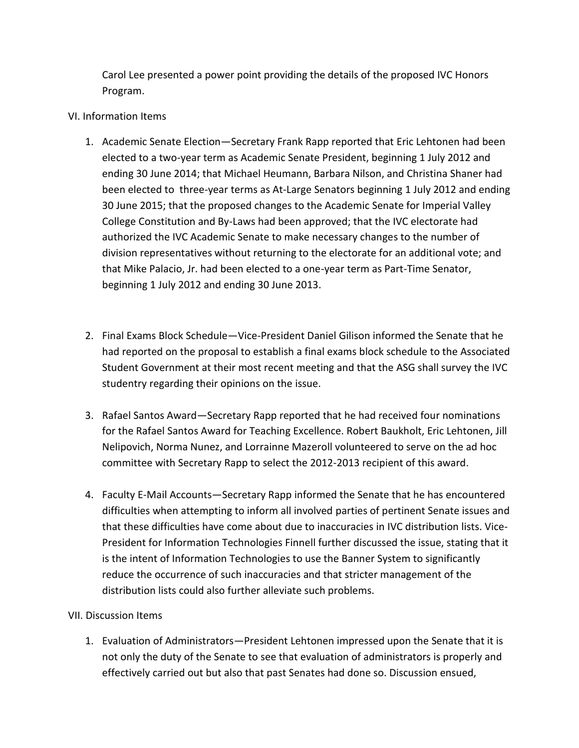Carol Lee presented a power point providing the details of the proposed IVC Honors Program.

### VI. Information Items

- 1. Academic Senate Election—Secretary Frank Rapp reported that Eric Lehtonen had been elected to a two-year term as Academic Senate President, beginning 1 July 2012 and ending 30 June 2014; that Michael Heumann, Barbara Nilson, and Christina Shaner had been elected to three-year terms as At-Large Senators beginning 1 July 2012 and ending 30 June 2015; that the proposed changes to the Academic Senate for Imperial Valley College Constitution and By-Laws had been approved; that the IVC electorate had authorized the IVC Academic Senate to make necessary changes to the number of division representatives without returning to the electorate for an additional vote; and that Mike Palacio, Jr. had been elected to a one-year term as Part-Time Senator, beginning 1 July 2012 and ending 30 June 2013.
- 2. Final Exams Block Schedule—Vice-President Daniel Gilison informed the Senate that he had reported on the proposal to establish a final exams block schedule to the Associated Student Government at their most recent meeting and that the ASG shall survey the IVC studentry regarding their opinions on the issue.
- 3. Rafael Santos Award—Secretary Rapp reported that he had received four nominations for the Rafael Santos Award for Teaching Excellence. Robert Baukholt, Eric Lehtonen, Jill Nelipovich, Norma Nunez, and Lorrainne Mazeroll volunteered to serve on the ad hoc committee with Secretary Rapp to select the 2012-2013 recipient of this award.
- 4. Faculty E-Mail Accounts—Secretary Rapp informed the Senate that he has encountered difficulties when attempting to inform all involved parties of pertinent Senate issues and that these difficulties have come about due to inaccuracies in IVC distribution lists. Vice-President for Information Technologies Finnell further discussed the issue, stating that it is the intent of Information Technologies to use the Banner System to significantly reduce the occurrence of such inaccuracies and that stricter management of the distribution lists could also further alleviate such problems.

## VII. Discussion Items

1. Evaluation of Administrators—President Lehtonen impressed upon the Senate that it is not only the duty of the Senate to see that evaluation of administrators is properly and effectively carried out but also that past Senates had done so. Discussion ensued,